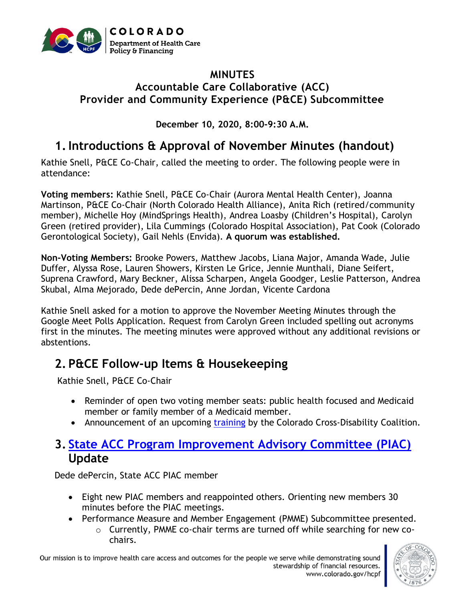

#### **MINUTES Accountable Care Collaborative (ACC) Provider and Community Experience (P&CE) Subcommittee**

**December 10, 2020, 8:00-9:30 A.M.**

### **1.Introductions & Approval of November Minutes (handout)**

Kathie Snell, P&CE Co-Chair, called the meeting to order. The following people were in attendance:

**Voting members:** Kathie Snell, P&CE Co-Chair (Aurora Mental Health Center), Joanna Martinson, P&CE Co-Chair (North Colorado Health Alliance), Anita Rich (retired/community member), Michelle Hoy (MindSprings Health), Andrea Loasby (Children's Hospital), Carolyn Green (retired provider), Lila Cummings (Colorado Hospital Association), Pat Cook (Colorado Gerontological Society), Gail Nehls (Envida). **A quorum was established.**

**Non-Voting Members:** Brooke Powers, Matthew Jacobs, Liana Major, Amanda Wade, Julie Duffer, Alyssa Rose, Lauren Showers, Kirsten Le Grice, Jennie Munthali, Diane Seifert, Suprena Crawford, Mary Beckner, Alissa Scharpen, Angela Goodger, Leslie Patterson, Andrea Skubal, Alma Mejorado, Dede dePercin, Anne Jordan, Vicente Cardona

Kathie Snell asked for a motion to approve the November Meeting Minutes through the Google Meet Polls Application. Request from Carolyn Green included spelling out acronyms first in the minutes. The meeting minutes were approved without any additional revisions or abstentions.

# **2. P&CE Follow-up Items & Housekeeping**

Kathie Snell, P&CE Co-Chair

- Reminder of open two voting member seats: public health focused and Medicaid member or family member of a Medicaid member.
- Announcement of an upcoming [training](https://www.colorado.gov/pacific/sites/default/files/Accountable%20Care%20Collaborative%20Provider%20and%20Community%20Experience%20PIAC%20Subcommittee%20CCDC%20Disability%20Cultural%20Competency%20Training%20December%202020.pdf) by the Colorado Cross-Disability Coalition.

### **3. State [ACC Program Improvement Advisory Committee](https://www.colorado.gov/pacific/hcpf/accountable-care-collaborative-program-improvement-advisory-committee) (PIAC) Update**

Dede dePercin, State ACC PIAC member

- Eight new PIAC members and reappointed others. Orienting new members 30 minutes before the PIAC meetings.
- Performance Measure and Member Engagement (PMME) Subcommittee presented.
	- o Currently, PMME co-chair terms are turned off while searching for new cochairs.

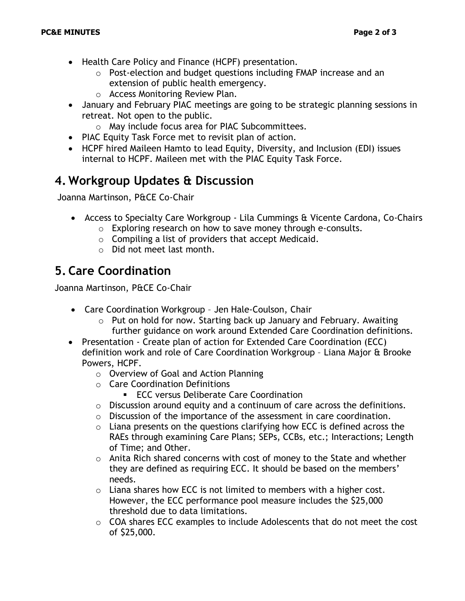- Health Care Policy and Finance (HCPF) presentation.
	- $\circ$  Post-election and budget questions including FMAP increase and an extension of public health emergency.
	- o Access Monitoring Review Plan.
- January and February PIAC meetings are going to be strategic planning sessions in retreat. Not open to the public.
	- o May include focus area for PIAC Subcommittees.
- PIAC Equity Task Force met to revisit plan of action.
- HCPF hired Maileen Hamto to lead Equity, Diversity, and Inclusion (EDI) issues internal to HCPF. Maileen met with the PIAC Equity Task Force.

### **4. Workgroup Updates & Discussion**

Joanna Martinson, P&CE Co-Chair

- Access to Specialty Care Workgroup Lila Cummings & Vicente Cardona, Co-Chairs
	- o Exploring research on how to save money through e-consults.
	- $\circ$  Compiling a list of providers that accept Medicaid.
	- o Did not meet last month.

## **5. Care Coordination**

Joanna Martinson, P&CE Co-Chair

- Care Coordination Workgroup Jen Hale-Coulson, Chair
	- o Put on hold for now. Starting back up January and February. Awaiting further guidance on work around Extended Care Coordination definitions.
- Presentation Create plan of action for Extended Care Coordination (ECC) definition work and role of Care Coordination Workgroup – Liana Major & Brooke Powers, HCPF.
	- o Overview of Goal and Action Planning
	- o Care Coordination Definitions
		- ECC versus Deliberate Care Coordination
	- o Discussion around equity and a continuum of care across the definitions.
	- o Discussion of the importance of the assessment in care coordination.
	- $\circ$  Liana presents on the questions clarifying how ECC is defined across the RAEs through examining Care Plans; SEPs, CCBs, etc.; Interactions; Length of Time; and Other.
	- $\circ$  Anita Rich shared concerns with cost of money to the State and whether they are defined as requiring ECC. It should be based on the members' needs.
	- $\circ$  Liana shares how ECC is not limited to members with a higher cost. However, the ECC performance pool measure includes the \$25,000 threshold due to data limitations.
	- o COA shares ECC examples to include Adolescents that do not meet the cost of \$25,000.